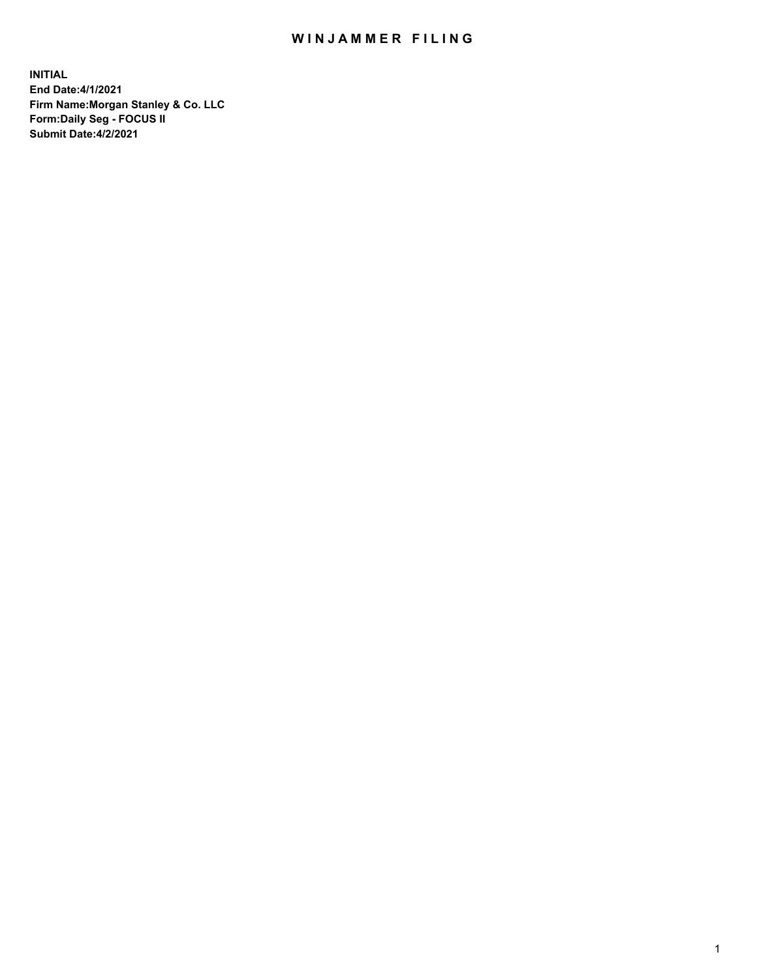## WIN JAMMER FILING

**INITIAL End Date:4/1/2021 Firm Name:Morgan Stanley & Co. LLC Form:Daily Seg - FOCUS II Submit Date:4/2/2021**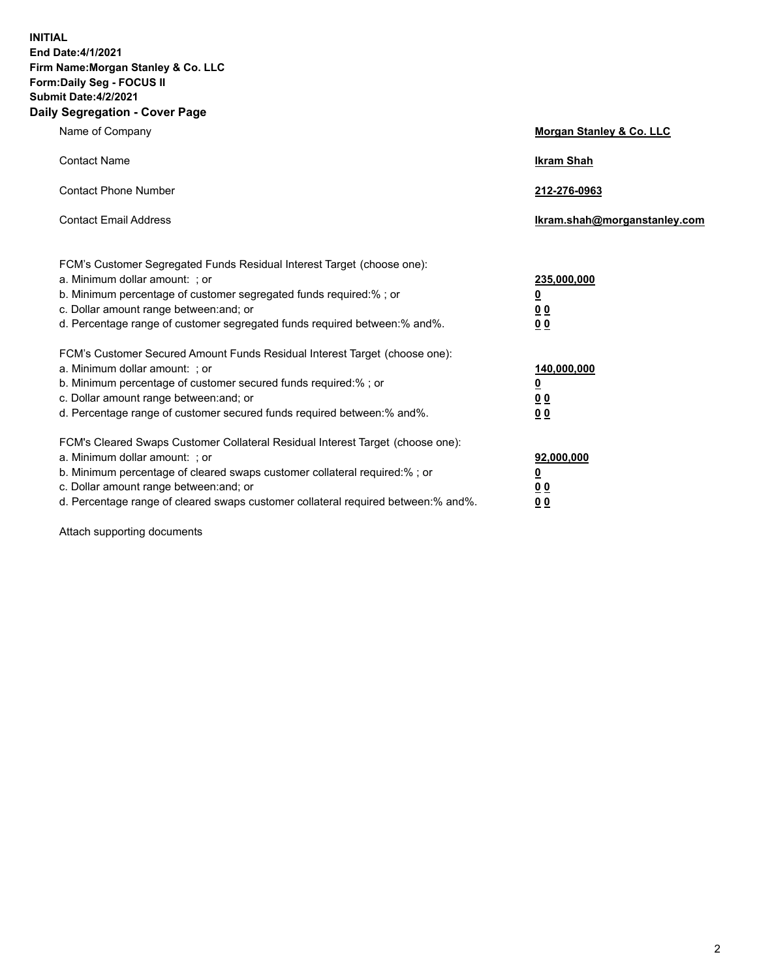**INITIAL End Date:4/1/2021 Firm Name:Morgan Stanley & Co. LLC Form:Daily Seg - FOCUS II Submit Date:4/2/2021 Daily Segregation - Cover Page**

| Name of Company                                                                                                                                                                                                                                                                                                                | <b>Morgan Stanley &amp; Co. LLC</b>                     |
|--------------------------------------------------------------------------------------------------------------------------------------------------------------------------------------------------------------------------------------------------------------------------------------------------------------------------------|---------------------------------------------------------|
| <b>Contact Name</b>                                                                                                                                                                                                                                                                                                            | <b>Ikram Shah</b>                                       |
| <b>Contact Phone Number</b>                                                                                                                                                                                                                                                                                                    | 212-276-0963                                            |
| <b>Contact Email Address</b>                                                                                                                                                                                                                                                                                                   | Ikram.shah@morganstanley.com                            |
| FCM's Customer Segregated Funds Residual Interest Target (choose one):<br>a. Minimum dollar amount: ; or<br>b. Minimum percentage of customer segregated funds required:% ; or<br>c. Dollar amount range between: and; or                                                                                                      | 235,000,000<br><u>0</u><br><u>00</u>                    |
| d. Percentage range of customer segregated funds required between:% and%.<br>FCM's Customer Secured Amount Funds Residual Interest Target (choose one):                                                                                                                                                                        | 0 <sup>0</sup>                                          |
| a. Minimum dollar amount: ; or<br>b. Minimum percentage of customer secured funds required:%; or<br>c. Dollar amount range between: and; or<br>d. Percentage range of customer secured funds required between: % and %.                                                                                                        | 140,000,000<br><u>0</u><br><u>0 0</u><br>0 <sub>0</sub> |
| FCM's Cleared Swaps Customer Collateral Residual Interest Target (choose one):<br>a. Minimum dollar amount: ; or<br>b. Minimum percentage of cleared swaps customer collateral required:% ; or<br>c. Dollar amount range between: and; or<br>d. Percentage range of cleared swaps customer collateral required between:% and%. | 92,000,000<br><u>0</u><br>0 Q<br>0 <sub>0</sub>         |

Attach supporting documents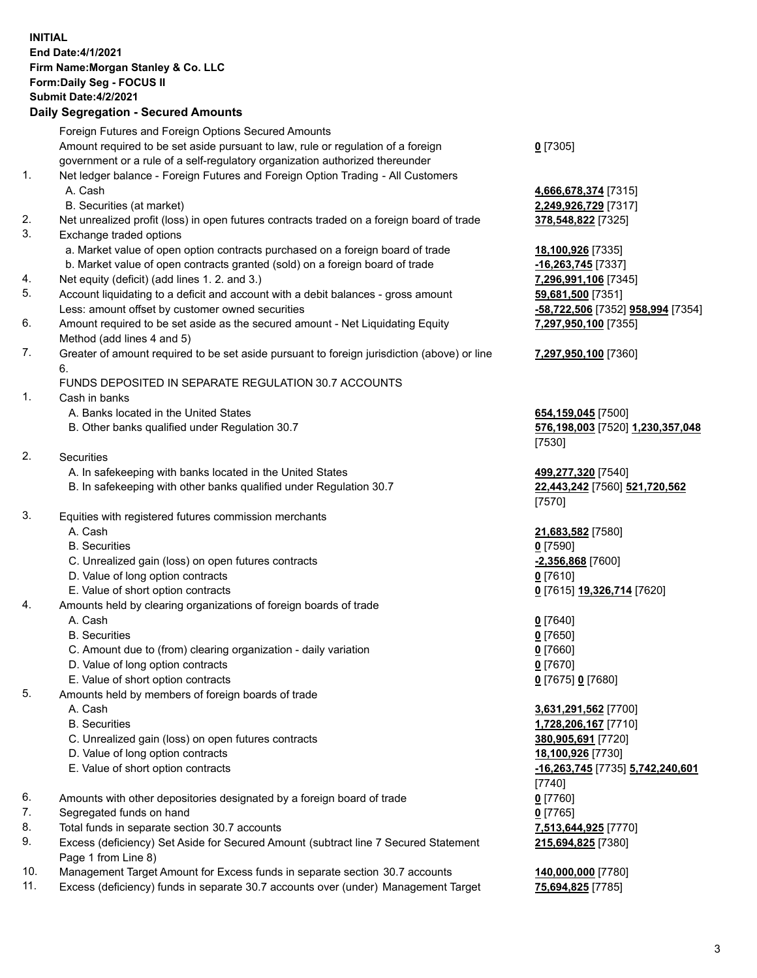## **INITIAL End Date:4/1/2021 Firm Name:Morgan Stanley & Co. LLC Form:Daily Seg - FOCUS II Submit Date:4/2/2021 Daily Segregation - Secured Amounts**

Foreign Futures and Foreign Options Secured Amounts Amount required to be set aside pursuant to law, rule or regulation of a foreign government or a rule of a self-regulatory organization authorized thereunder 1. Net ledger balance - Foreign Futures and Foreign Option Trading - All Customers A. Cash **4,666,678,374** [7315] B. Securities (at market) **2,249,926,729** [7317] 2. Net unrealized profit (loss) in open futures contracts traded on a foreign board of trade **378,548,822** [7325] 3. Exchange traded options a. Market value of open option contracts purchased on a foreign board of trade **18,100,926** [7335] b. Market value of open contracts granted (sold) on a foreign board of trade **-16,263,745** [7337] 4. Net equity (deficit) (add lines 1. 2. and 3.) **7,296,991,106** [7345] 5. Account liquidating to a deficit and account with a debit balances - gross amount **59,681,500** [7351] Less: amount offset by customer owned securities **-58,722,506** [7352] **958,994** [7354] 6. Amount required to be set aside as the secured amount - Net Liquidating Equity Method (add lines 4 and 5) 7. Greater of amount required to be set aside pursuant to foreign jurisdiction (above) or line 6. FUNDS DEPOSITED IN SEPARATE REGULATION 30.7 ACCOUNTS 1. Cash in banks A. Banks located in the United States **654,159,045** [7500] B. Other banks qualified under Regulation 30.7 **576,198,003** [7520] **1,230,357,048** 2. Securities A. In safekeeping with banks located in the United States **499,277,320** [7540] B. In safekeeping with other banks qualified under Regulation 30.7 **22,443,242** [7560] **521,720,562** 3. Equities with registered futures commission merchants A. Cash **21,683,582** [7580] B. Securities **0** [7590] C. Unrealized gain (loss) on open futures contracts **-2,356,868** [7600] D. Value of long option contracts **0** [7610] E. Value of short option contracts **0** [7615] **19,326,714** [7620] 4. Amounts held by clearing organizations of foreign boards of trade A. Cash **0** [7640]

- B. Securities **0** [7650]
- C. Amount due to (from) clearing organization daily variation **0** [7660]
- D. Value of long option contracts **0** [7670]
- E. Value of short option contracts **0** [7675] **0** [7680]
- 5. Amounts held by members of foreign boards of trade
	-
	-
	- C. Unrealized gain (loss) on open futures contracts **380,905,691** [7720]
	- D. Value of long option contracts **18,100,926** [7730]
	- E. Value of short option contracts **-16,263,745** [7735] **5,742,240,601**
- 6. Amounts with other depositories designated by a foreign board of trade **0** [7760]
- 7. Segregated funds on hand **0** [7765]
- 8. Total funds in separate section 30.7 accounts **7,513,644,925** [7770]
- 9. Excess (deficiency) Set Aside for Secured Amount (subtract line 7 Secured Statement Page 1 from Line 8)
- 10. Management Target Amount for Excess funds in separate section 30.7 accounts **140,000,000** [7780]
- 11. Excess (deficiency) funds in separate 30.7 accounts over (under) Management Target **75,694,825** [7785]

**0** [7305]

**7,297,950,100** [7355]

## **7,297,950,100** [7360]

[7530]

[7570]

 A. Cash **3,631,291,562** [7700] B. Securities **1,728,206,167** [7710] [7740] **215,694,825** [7380]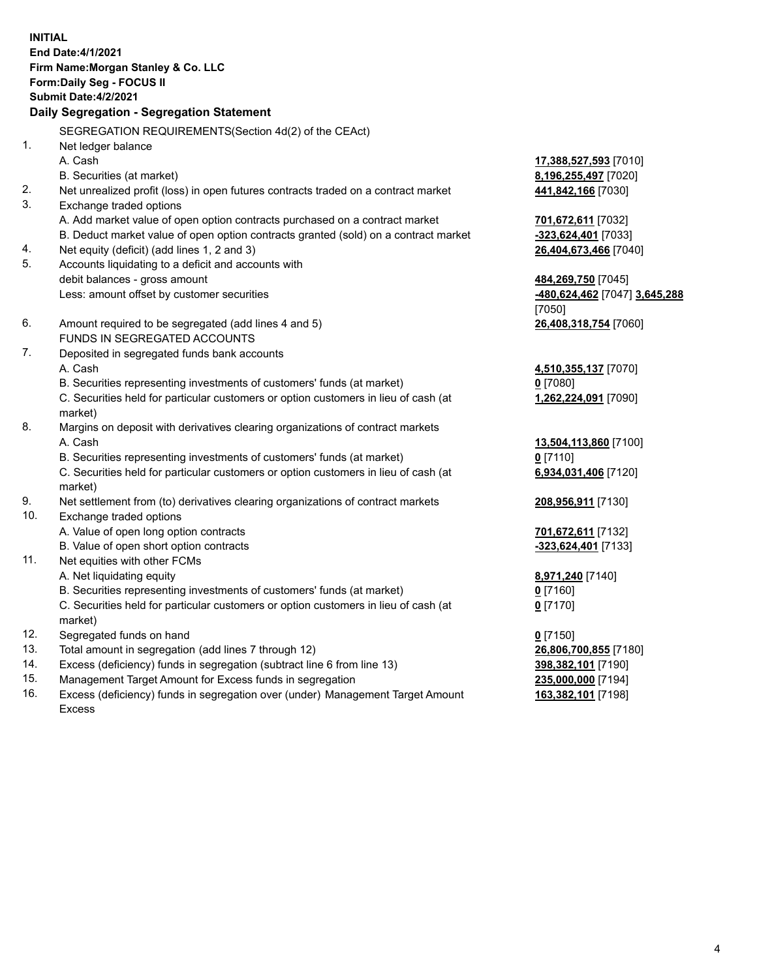**INITIAL End Date:4/1/2021 Firm Name:Morgan Stanley & Co. LLC Form:Daily Seg - FOCUS II Submit Date:4/2/2021 Daily Segregation - Segregation Statement** SEGREGATION REQUIREMENTS(Section 4d(2) of the CEAct) 1. Net ledger balance A. Cash **17,388,527,593** [7010] B. Securities (at market) **8,196,255,497** [7020] 2. Net unrealized profit (loss) in open futures contracts traded on a contract market **441,842,166** [7030] 3. Exchange traded options A. Add market value of open option contracts purchased on a contract market **701,672,611** [7032] B. Deduct market value of open option contracts granted (sold) on a contract market **-323,624,401** [7033] 4. Net equity (deficit) (add lines 1, 2 and 3) **26,404,673,466** [7040] 5. Accounts liquidating to a deficit and accounts with debit balances - gross amount **484,269,750** [7045] Less: amount offset by customer securities **-480,624,462** [7047] **3,645,288** [7050] 6. Amount required to be segregated (add lines 4 and 5) **26,408,318,754** [7060] FUNDS IN SEGREGATED ACCOUNTS 7. Deposited in segregated funds bank accounts A. Cash **4,510,355,137** [7070] B. Securities representing investments of customers' funds (at market) **0** [7080] C. Securities held for particular customers or option customers in lieu of cash (at market) **1,262,224,091** [7090] 8. Margins on deposit with derivatives clearing organizations of contract markets A. Cash **13,504,113,860** [7100] B. Securities representing investments of customers' funds (at market) **0** [7110] C. Securities held for particular customers or option customers in lieu of cash (at market) **6,934,031,406** [7120] 9. Net settlement from (to) derivatives clearing organizations of contract markets **208,956,911** [7130] 10. Exchange traded options A. Value of open long option contracts **701,672,611** [7132] B. Value of open short option contracts **-323,624,401** [7133] 11. Net equities with other FCMs A. Net liquidating equity **8,971,240** [7140] B. Securities representing investments of customers' funds (at market) **0** [7160] C. Securities held for particular customers or option customers in lieu of cash (at market) **0** [7170] 12. Segregated funds on hand **0** [7150] 13. Total amount in segregation (add lines 7 through 12) **26,806,700,855** [7180] 14. Excess (deficiency) funds in segregation (subtract line 6 from line 13) **398,382,101** [7190] 15. Management Target Amount for Excess funds in segregation **235,000,000** [7194]

16. Excess (deficiency) funds in segregation over (under) Management Target Amount Excess

**163,382,101** [7198]